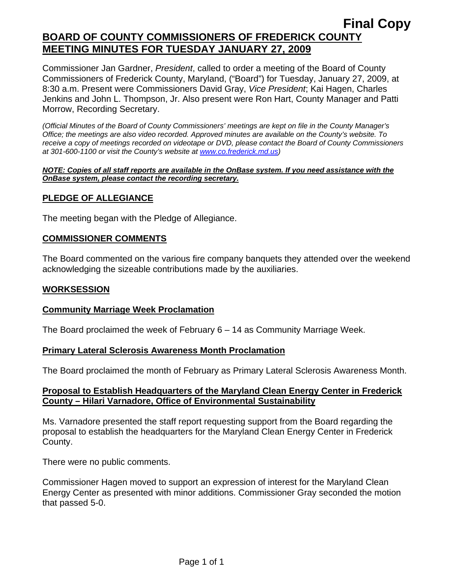Commissioner Jan Gardner, *President*, called to order a meeting of the Board of County Commissioners of Frederick County, Maryland, ("Board") for Tuesday, January 27, 2009, at 8:30 a.m. Present were Commissioners David Gray, *Vice President*; Kai Hagen, Charles Jenkins and John L. Thompson, Jr. Also present were Ron Hart, County Manager and Patti Morrow, Recording Secretary.

*(Official Minutes of the Board of County Commissioners' meetings are kept on file in the County Manager's Office; the meetings are also video recorded. Approved minutes are available on the County's website. To receive a copy of meetings recorded on videotape or DVD, please contact the Board of County Commissioners at 301-600-1100 or visit the County's website at [www.co.frederick.md.us\)](http://www.co.frederick.md.us/)* 

#### *NOTE: Copies of all staff reports are available in the OnBase system. If you need assistance with the OnBase system, please contact the recording secretary.*

## **PLEDGE OF ALLEGIANCE**

The meeting began with the Pledge of Allegiance.

### **COMMISSIONER COMMENTS**

The Board commented on the various fire company banquets they attended over the weekend acknowledging the sizeable contributions made by the auxiliaries.

### **WORKSESSION**

#### **Community Marriage Week Proclamation**

The Board proclaimed the week of February 6 – 14 as Community Marriage Week.

#### **Primary Lateral Sclerosis Awareness Month Proclamation**

The Board proclaimed the month of February as Primary Lateral Sclerosis Awareness Month.

## **Proposal to Establish Headquarters of the Maryland Clean Energy Center in Frederick County – Hilari Varnadore, Office of Environmental Sustainability**

Ms. Varnadore presented the staff report requesting support from the Board regarding the proposal to establish the headquarters for the Maryland Clean Energy Center in Frederick County.

There were no public comments.

Commissioner Hagen moved to support an expression of interest for the Maryland Clean Energy Center as presented with minor additions. Commissioner Gray seconded the motion that passed 5-0.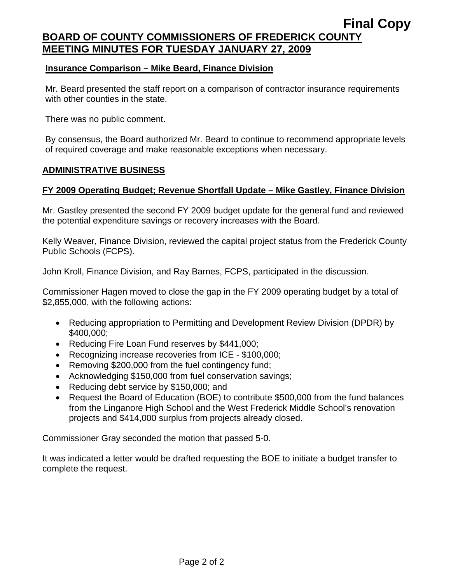### **Insurance Comparison – Mike Beard, Finance Division**

Mr. Beard presented the staff report on a comparison of contractor insurance requirements with other counties in the state.

There was no public comment.

By consensus, the Board authorized Mr. Beard to continue to recommend appropriate levels of required coverage and make reasonable exceptions when necessary.

#### **ADMINISTRATIVE BUSINESS**

## **FY 2009 Operating Budget; Revenue Shortfall Update – Mike Gastley, Finance Division**

Mr. Gastley presented the second FY 2009 budget update for the general fund and reviewed the potential expenditure savings or recovery increases with the Board.

Kelly Weaver, Finance Division, reviewed the capital project status from the Frederick County Public Schools (FCPS).

John Kroll, Finance Division, and Ray Barnes, FCPS, participated in the discussion.

Commissioner Hagen moved to close the gap in the FY 2009 operating budget by a total of \$2,855,000, with the following actions:

- Reducing appropriation to Permitting and Development Review Division (DPDR) by \$400,000;
- Reducing Fire Loan Fund reserves by \$441,000;
- Recognizing increase recoveries from ICE \$100,000;
- Removing \$200,000 from the fuel contingency fund;
- Acknowledging \$150,000 from fuel conservation savings;
- Reducing debt service by \$150,000; and
- Request the Board of Education (BOE) to contribute \$500,000 from the fund balances from the Linganore High School and the West Frederick Middle School's renovation projects and \$414,000 surplus from projects already closed.

Commissioner Gray seconded the motion that passed 5-0.

It was indicated a letter would be drafted requesting the BOE to initiate a budget transfer to complete the request.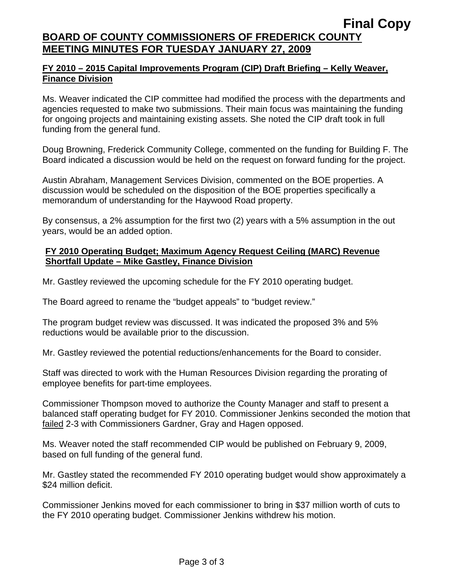## **FY 2010 – 2015 Capital Improvements Program (CIP) Draft Briefing – Kelly Weaver, Finance Division**

Ms. Weaver indicated the CIP committee had modified the process with the departments and agencies requested to make two submissions. Their main focus was maintaining the funding for ongoing projects and maintaining existing assets. She noted the CIP draft took in full funding from the general fund.

Doug Browning, Frederick Community College, commented on the funding for Building F. The Board indicated a discussion would be held on the request on forward funding for the project.

Austin Abraham, Management Services Division, commented on the BOE properties. A discussion would be scheduled on the disposition of the BOE properties specifically a memorandum of understanding for the Haywood Road property.

By consensus, a 2% assumption for the first two (2) years with a 5% assumption in the out years, would be an added option.

## **FY 2010 Operating Budget; Maximum Agency Request Ceiling (MARC) Revenue Shortfall Update – Mike Gastley, Finance Division**

Mr. Gastley reviewed the upcoming schedule for the FY 2010 operating budget.

The Board agreed to rename the "budget appeals" to "budget review."

The program budget review was discussed. It was indicated the proposed 3% and 5% reductions would be available prior to the discussion.

Mr. Gastley reviewed the potential reductions/enhancements for the Board to consider.

Staff was directed to work with the Human Resources Division regarding the prorating of employee benefits for part-time employees.

Commissioner Thompson moved to authorize the County Manager and staff to present a balanced staff operating budget for FY 2010. Commissioner Jenkins seconded the motion that failed 2-3 with Commissioners Gardner, Gray and Hagen opposed.

Ms. Weaver noted the staff recommended CIP would be published on February 9, 2009, based on full funding of the general fund.

Mr. Gastley stated the recommended FY 2010 operating budget would show approximately a \$24 million deficit.

Commissioner Jenkins moved for each commissioner to bring in \$37 million worth of cuts to the FY 2010 operating budget. Commissioner Jenkins withdrew his motion.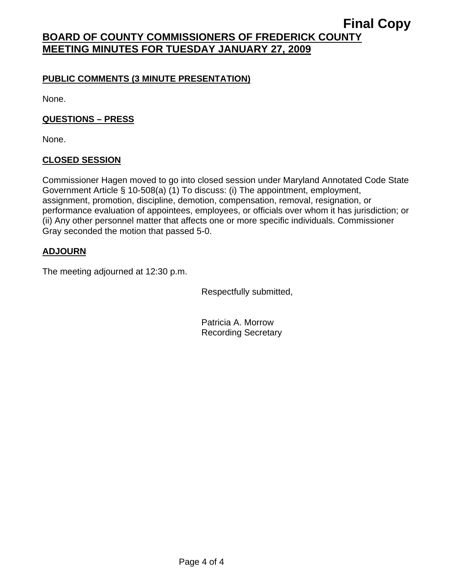## **PUBLIC COMMENTS (3 MINUTE PRESENTATION)**

None.

## **QUESTIONS – PRESS**

None.

## **CLOSED SESSION**

Commissioner Hagen moved to go into closed session under Maryland Annotated Code State Government Article § 10-508(a) (1) To discuss: (i) The appointment, employment, assignment, promotion, discipline, demotion, compensation, removal, resignation, or performance evaluation of appointees, employees, or officials over whom it has jurisdiction; or (ii) Any other personnel matter that affects one or more specific individuals. Commissioner Gray seconded the motion that passed 5-0.

## **ADJOURN**

The meeting adjourned at 12:30 p.m.

Respectfully submitted,

Patricia A. Morrow Recording Secretary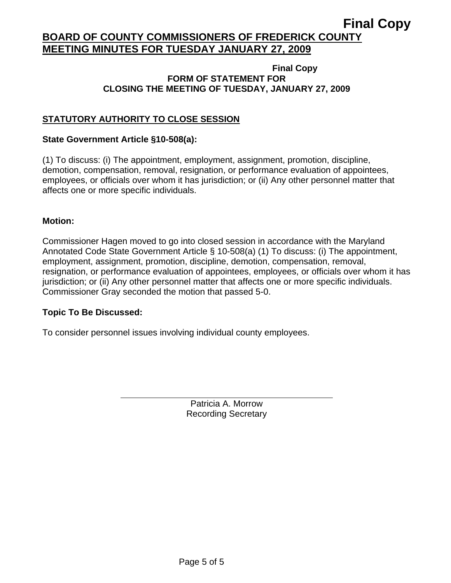#### **Final Copy FORM OF STATEMENT FOR CLOSING THE MEETING OF TUESDAY, JANUARY 27, 2009**

## **STATUTORY AUTHORITY TO CLOSE SESSION**

### **State Government Article §10-508(a):**

(1) To discuss: (i) The appointment, employment, assignment, promotion, discipline, demotion, compensation, removal, resignation, or performance evaluation of appointees, employees, or officials over whom it has jurisdiction; or (ii) Any other personnel matter that affects one or more specific individuals.

#### **Motion:**

Commissioner Hagen moved to go into closed session in accordance with the Maryland Annotated Code State Government Article § 10-508(a) (1) To discuss: (i) The appointment, employment, assignment, promotion, discipline, demotion, compensation, removal, resignation, or performance evaluation of appointees, employees, or officials over whom it has jurisdiction; or (ii) Any other personnel matter that affects one or more specific individuals. Commissioner Gray seconded the motion that passed 5-0.

#### **Topic To Be Discussed:**

 $\overline{a}$ 

To consider personnel issues involving individual county employees.

Patricia A. Morrow Recording Secretary